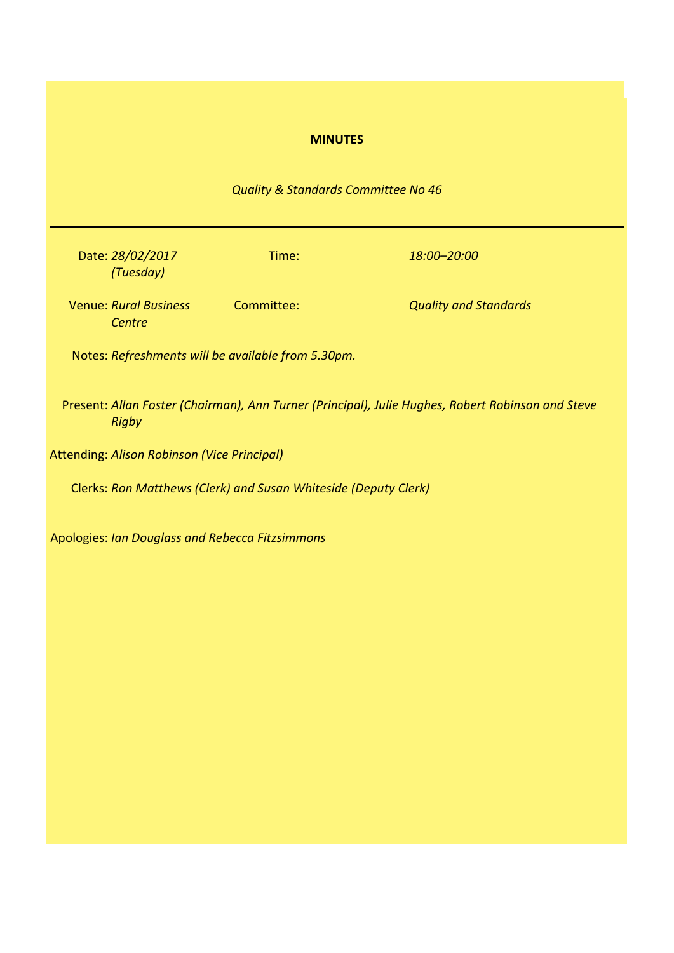# **MINUTES**

# *Quality & Standards Committee No 46*

Date: *28/02/2017 (Tuesday)*

Time: *18:00–20:00*

Venue: *Rural Business Centre*

**Cuality and Standards** 

Notes: *Refreshments will be available from 5.30pm.*

Present: *Allan Foster (Chairman), Ann Turner (Principal), Julie Hughes, Robert Robinson and Steve Rigby*

Attending: *Alison Robinson (Vice Principal)*

Clerks: *Ron Matthews (Clerk) and Susan Whiteside (Deputy Clerk)*

Apologies: *Ian Douglass and Rebecca Fitzsimmons*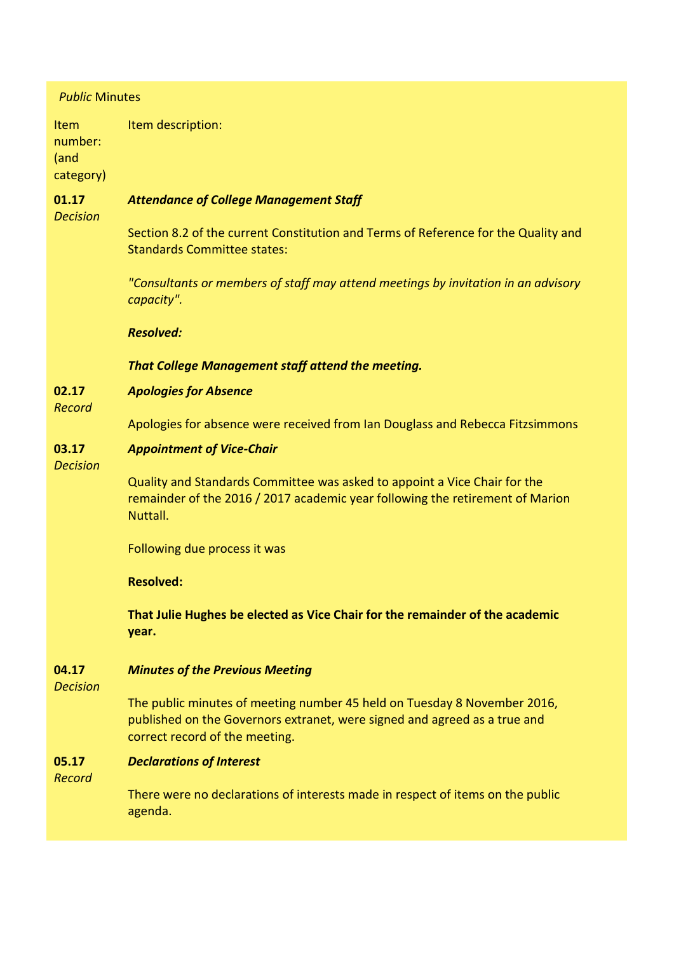| <b>Public Minutes</b><br>Item description:<br><b>Item</b><br>number:<br>(and<br>category)<br>01.17<br><b>Attendance of College Management Staff</b><br><b>Decision</b><br>Section 8.2 of the current Constitution and Terms of Reference for the Quality and<br><b>Standards Committee states:</b><br>"Consultants or members of staff may attend meetings by invitation in an advisory<br>capacity".<br><b>Resolved:</b><br>That College Management staff attend the meeting.<br>02.17<br><b>Apologies for Absence</b><br><b>Record</b><br>Apologies for absence were received from Ian Douglass and Rebecca Fitzsimmons<br>03.17<br><b>Appointment of Vice-Chair</b><br><b>Decision</b><br>Quality and Standards Committee was asked to appoint a Vice Chair for the<br>remainder of the 2016 / 2017 academic year following the retirement of Marion<br>Nuttall.<br>Following due process it was<br><b>Resolved:</b><br>That Julie Hughes be elected as Vice Chair for the remainder of the academic<br>year.<br><b>Minutes of the Previous Meeting</b><br>04.17<br><b>Decision</b><br>The public minutes of meeting number 45 held on Tuesday 8 November 2016,<br>published on the Governors extranet, were signed and agreed as a true and<br>correct record of the meeting.<br>05.17<br><b>Declarations of Interest</b><br>Record<br>There were no declarations of interests made in respect of items on the public<br>agenda. |  |  |
|--------------------------------------------------------------------------------------------------------------------------------------------------------------------------------------------------------------------------------------------------------------------------------------------------------------------------------------------------------------------------------------------------------------------------------------------------------------------------------------------------------------------------------------------------------------------------------------------------------------------------------------------------------------------------------------------------------------------------------------------------------------------------------------------------------------------------------------------------------------------------------------------------------------------------------------------------------------------------------------------------------------------------------------------------------------------------------------------------------------------------------------------------------------------------------------------------------------------------------------------------------------------------------------------------------------------------------------------------------------------------------------------------------------------------------------|--|--|
|                                                                                                                                                                                                                                                                                                                                                                                                                                                                                                                                                                                                                                                                                                                                                                                                                                                                                                                                                                                                                                                                                                                                                                                                                                                                                                                                                                                                                                      |  |  |
|                                                                                                                                                                                                                                                                                                                                                                                                                                                                                                                                                                                                                                                                                                                                                                                                                                                                                                                                                                                                                                                                                                                                                                                                                                                                                                                                                                                                                                      |  |  |
|                                                                                                                                                                                                                                                                                                                                                                                                                                                                                                                                                                                                                                                                                                                                                                                                                                                                                                                                                                                                                                                                                                                                                                                                                                                                                                                                                                                                                                      |  |  |
|                                                                                                                                                                                                                                                                                                                                                                                                                                                                                                                                                                                                                                                                                                                                                                                                                                                                                                                                                                                                                                                                                                                                                                                                                                                                                                                                                                                                                                      |  |  |
|                                                                                                                                                                                                                                                                                                                                                                                                                                                                                                                                                                                                                                                                                                                                                                                                                                                                                                                                                                                                                                                                                                                                                                                                                                                                                                                                                                                                                                      |  |  |
|                                                                                                                                                                                                                                                                                                                                                                                                                                                                                                                                                                                                                                                                                                                                                                                                                                                                                                                                                                                                                                                                                                                                                                                                                                                                                                                                                                                                                                      |  |  |
|                                                                                                                                                                                                                                                                                                                                                                                                                                                                                                                                                                                                                                                                                                                                                                                                                                                                                                                                                                                                                                                                                                                                                                                                                                                                                                                                                                                                                                      |  |  |
|                                                                                                                                                                                                                                                                                                                                                                                                                                                                                                                                                                                                                                                                                                                                                                                                                                                                                                                                                                                                                                                                                                                                                                                                                                                                                                                                                                                                                                      |  |  |
|                                                                                                                                                                                                                                                                                                                                                                                                                                                                                                                                                                                                                                                                                                                                                                                                                                                                                                                                                                                                                                                                                                                                                                                                                                                                                                                                                                                                                                      |  |  |
|                                                                                                                                                                                                                                                                                                                                                                                                                                                                                                                                                                                                                                                                                                                                                                                                                                                                                                                                                                                                                                                                                                                                                                                                                                                                                                                                                                                                                                      |  |  |
|                                                                                                                                                                                                                                                                                                                                                                                                                                                                                                                                                                                                                                                                                                                                                                                                                                                                                                                                                                                                                                                                                                                                                                                                                                                                                                                                                                                                                                      |  |  |
|                                                                                                                                                                                                                                                                                                                                                                                                                                                                                                                                                                                                                                                                                                                                                                                                                                                                                                                                                                                                                                                                                                                                                                                                                                                                                                                                                                                                                                      |  |  |
|                                                                                                                                                                                                                                                                                                                                                                                                                                                                                                                                                                                                                                                                                                                                                                                                                                                                                                                                                                                                                                                                                                                                                                                                                                                                                                                                                                                                                                      |  |  |
|                                                                                                                                                                                                                                                                                                                                                                                                                                                                                                                                                                                                                                                                                                                                                                                                                                                                                                                                                                                                                                                                                                                                                                                                                                                                                                                                                                                                                                      |  |  |
|                                                                                                                                                                                                                                                                                                                                                                                                                                                                                                                                                                                                                                                                                                                                                                                                                                                                                                                                                                                                                                                                                                                                                                                                                                                                                                                                                                                                                                      |  |  |
|                                                                                                                                                                                                                                                                                                                                                                                                                                                                                                                                                                                                                                                                                                                                                                                                                                                                                                                                                                                                                                                                                                                                                                                                                                                                                                                                                                                                                                      |  |  |
|                                                                                                                                                                                                                                                                                                                                                                                                                                                                                                                                                                                                                                                                                                                                                                                                                                                                                                                                                                                                                                                                                                                                                                                                                                                                                                                                                                                                                                      |  |  |
|                                                                                                                                                                                                                                                                                                                                                                                                                                                                                                                                                                                                                                                                                                                                                                                                                                                                                                                                                                                                                                                                                                                                                                                                                                                                                                                                                                                                                                      |  |  |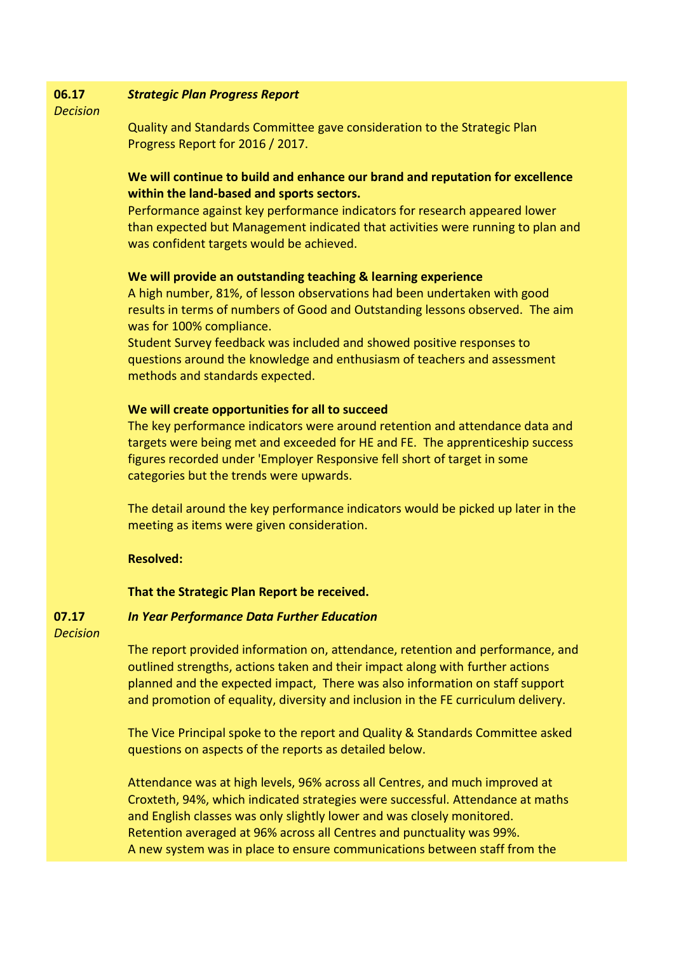#### **06.17** *Strategic Plan Progress Report*

*Decision*

Quality and Standards Committee gave consideration to the Strategic Plan Progress Report for 2016 / 2017.

# **We will continue to build and enhance our brand and reputation for excellence within the land-based and sports sectors.**

Performance against key performance indicators for research appeared lower than expected but Management indicated that activities were running to plan and was confident targets would be achieved.

## **We will provide an outstanding teaching & learning experience**

A high number, 81%, of lesson observations had been undertaken with good results in terms of numbers of Good and Outstanding lessons observed. The aim was for 100% compliance.

Student Survey feedback was included and showed positive responses to questions around the knowledge and enthusiasm of teachers and assessment methods and standards expected.

## **We will create opportunities for all to succeed**

The key performance indicators were around retention and attendance data and targets were being met and exceeded for HE and FE. The apprenticeship success figures recorded under 'Employer Responsive fell short of target in some categories but the trends were upwards.

The detail around the key performance indicators would be picked up later in the meeting as items were given consideration.

# **Resolved:**

### **That the Strategic Plan Report be received.**

#### **07.17** *In Year Performance Data Further Education*

*Decision*

The report provided information on, attendance, retention and performance, and outlined strengths, actions taken and their impact along with further actions planned and the expected impact, There was also information on staff support and promotion of equality, diversity and inclusion in the FE curriculum delivery.

The Vice Principal spoke to the report and Quality & Standards Committee asked questions on aspects of the reports as detailed below.

Attendance was at high levels, 96% across all Centres, and much improved at Croxteth, 94%, which indicated strategies were successful. Attendance at maths and English classes was only slightly lower and was closely monitored. Retention averaged at 96% across all Centres and punctuality was 99%. A new system was in place to ensure communications between staff from the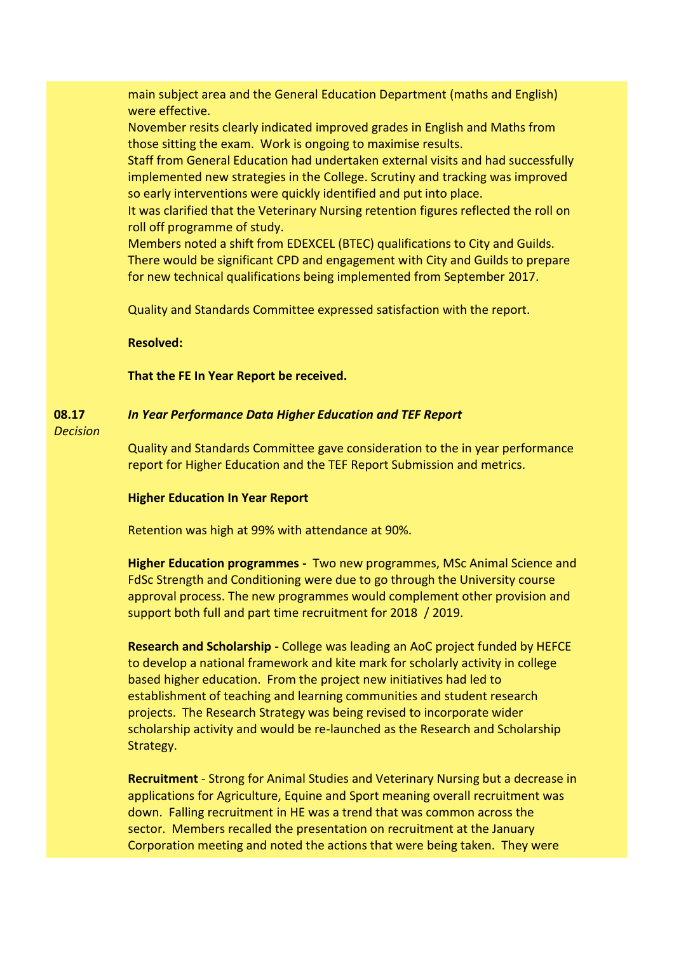main subject area and the General Education Department (maths and English) were effective.

November resits clearly indicated improved grades in English and Maths from those sitting the exam. Work is ongoing to maximise results.

Staff from General Education had undertaken external visits and had successfully implemented new strategies in the College. Scrutiny and tracking was improved so early interventions were quickly identified and put into place.

It was clarified that the Veterinary Nursing retention figures reflected the roll on roll off programme of study.

Members noted a shift from EDEXCEL (BTEC) qualifications to City and Guilds. There would be significant CPD and engagement with City and Guilds to prepare for new technical qualifications being implemented from September 2017.

Quality and Standards Committee expressed satisfaction with the report.

### **Resolved:**

### **That the FE In Year Report be received.**

#### **08.17** *In Year Performance Data Higher Education and TEF Report*

*Decision*

Quality and Standards Committee gave consideration to the in year performance report for Higher Education and the TEF Report Submission and metrics.

### **Higher Education In Year Report**

Retention was high at 99% with attendance at 90%.

**Higher Education programmes -** Two new programmes, MSc Animal Science and FdSc Strength and Conditioning were due to go through the University course approval process. The new programmes would complement other provision and support both full and part time recruitment for 2018 / 2019.

**Research and Scholarship -** College was leading an AoC project funded by HEFCE to develop a national framework and kite mark for scholarly activity in college based higher education. From the project new initiatives had led to establishment of teaching and learning communities and student research projects. The Research Strategy was being revised to incorporate wider scholarship activity and would be re-launched as the Research and Scholarship Strategy.

**Recruitment** - Strong for Animal Studies and Veterinary Nursing but a decrease in applications for Agriculture, Equine and Sport meaning overall recruitment was down. Falling recruitment in HE was a trend that was common across the sector. Members recalled the presentation on recruitment at the January Corporation meeting and noted the actions that were being taken. They were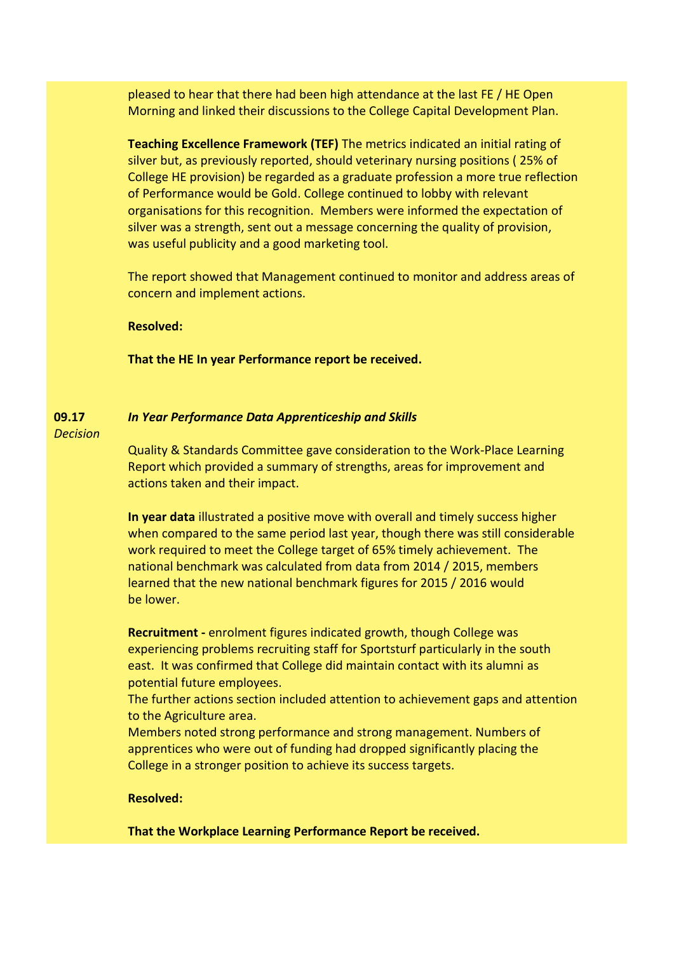pleased to hear that there had been high attendance at the last FE / HE Open Morning and linked their discussions to the College Capital Development Plan.

**Teaching Excellence Framework (TEF)** The metrics indicated an initial rating of silver but, as previously reported, should veterinary nursing positions ( 25% of College HE provision) be regarded as a graduate profession a more true reflection of Performance would be Gold. College continued to lobby with relevant organisations for this recognition. Members were informed the expectation of silver was a strength, sent out a message concerning the quality of provision, was useful publicity and a good marketing tool.

The report showed that Management continued to monitor and address areas of concern and implement actions.

### **Resolved:**

**That the HE In year Performance report be received.**

#### **09.17** *In Year Performance Data Apprenticeship and Skills*

*Decision*

Quality & Standards Committee gave consideration to the Work-Place Learning Report which provided a summary of strengths, areas for improvement and actions taken and their impact.

**In year data** illustrated a positive move with overall and timely success higher when compared to the same period last year, though there was still considerable work required to meet the College target of 65% timely achievement. The national benchmark was calculated from data from 2014 / 2015, members learned that the new national benchmark figures for 2015 / 2016 would be lower.

**Recruitment -** enrolment figures indicated growth, though College was experiencing problems recruiting staff for Sportsturf particularly in the south east. It was confirmed that College did maintain contact with its alumni as potential future employees.

The further actions section included attention to achievement gaps and attention to the Agriculture area.

Members noted strong performance and strong management. Numbers of apprentices who were out of funding had dropped significantly placing the College in a stronger position to achieve its success targets.

### **Resolved:**

**That the Workplace Learning Performance Report be received.**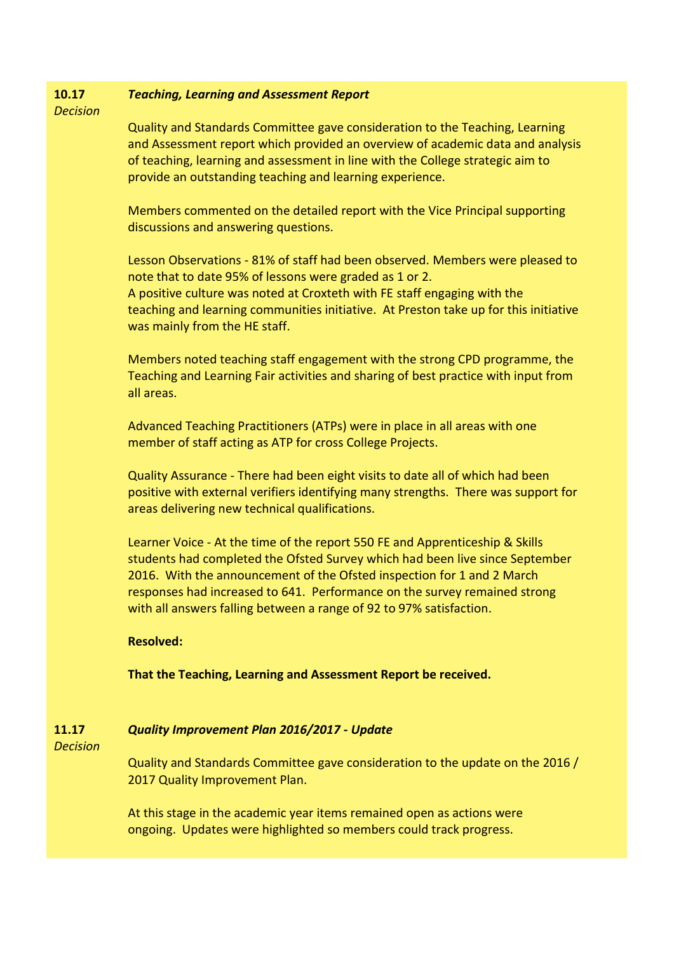#### **10.17** *Teaching, Learning and Assessment Report*

*Decision*

Quality and Standards Committee gave consideration to the Teaching, Learning and Assessment report which provided an overview of academic data and analysis of teaching, learning and assessment in line with the College strategic aim to provide an outstanding teaching and learning experience.

Members commented on the detailed report with the Vice Principal supporting discussions and answering questions.

Lesson Observations - 81% of staff had been observed. Members were pleased to note that to date 95% of lessons were graded as 1 or 2. A positive culture was noted at Croxteth with FE staff engaging with the teaching and learning communities initiative. At Preston take up for this initiative was mainly from the HE staff.

Members noted teaching staff engagement with the strong CPD programme, the Teaching and Learning Fair activities and sharing of best practice with input from all areas.

Advanced Teaching Practitioners (ATPs) were in place in all areas with one member of staff acting as ATP for cross College Projects.

Quality Assurance - There had been eight visits to date all of which had been positive with external verifiers identifying many strengths. There was support for areas delivering new technical qualifications.

Learner Voice - At the time of the report 550 FE and Apprenticeship & Skills students had completed the Ofsted Survey which had been live since September 2016. With the announcement of the Ofsted inspection for 1 and 2 March responses had increased to 641. Performance on the survey remained strong with all answers falling between a range of 92 to 97% satisfaction.

# **Resolved:**

**That the Teaching, Learning and Assessment Report be received.**

#### **11.17** *Quality Improvement Plan 2016/2017 - Update*

*Decision*

Quality and Standards Committee gave consideration to the update on the 2016 / 2017 Quality Improvement Plan.

At this stage in the academic year items remained open as actions were ongoing. Updates were highlighted so members could track progress.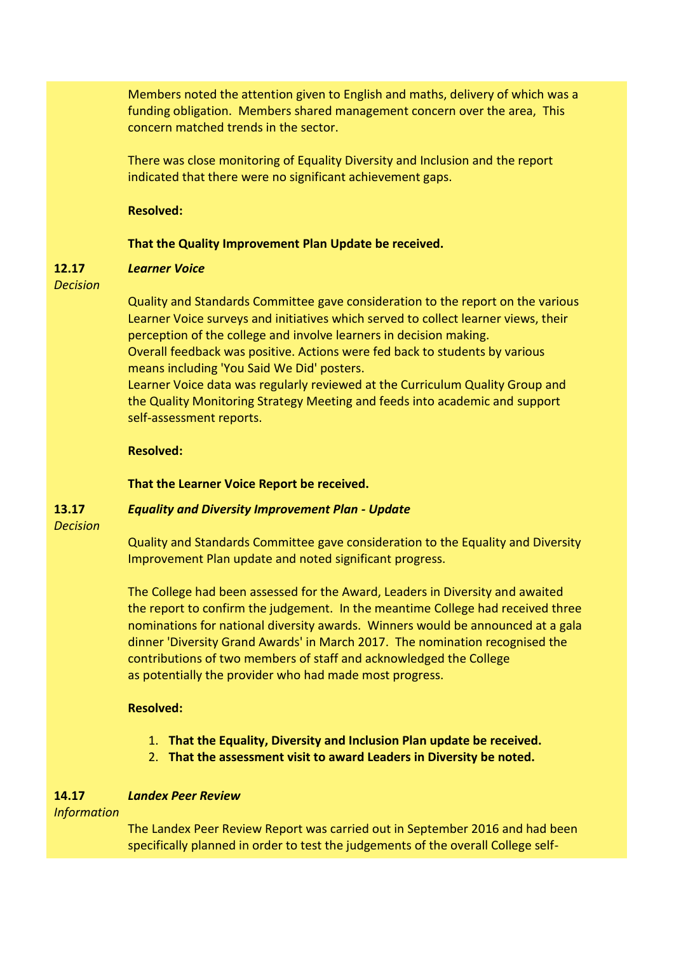Members noted the attention given to English and maths, delivery of which was a funding obligation. Members shared management concern over the area, This concern matched trends in the sector.

There was close monitoring of Equality Diversity and Inclusion and the report indicated that there were no significant achievement gaps.

### **Resolved:**

### **That the Quality Improvement Plan Update be received.**

#### **12.17** *Learner Voice*

*Decision*

Quality and Standards Committee gave consideration to the report on the various Learner Voice surveys and initiatives which served to collect learner views, their perception of the college and involve learners in decision making. Overall feedback was positive. Actions were fed back to students by various means including 'You Said We Did' posters.

Learner Voice data was regularly reviewed at the Curriculum Quality Group and the Quality Monitoring Strategy Meeting and feeds into academic and support self-assessment reports.

## **Resolved:**

# **That the Learner Voice Report be received.**

#### **13.17** *Equality and Diversity Improvement Plan - Update*

*Decision*

Quality and Standards Committee gave consideration to the Equality and Diversity Improvement Plan update and noted significant progress.

The College had been assessed for the Award, Leaders in Diversity and awaited the report to confirm the judgement. In the meantime College had received three nominations for national diversity awards. Winners would be announced at a gala dinner 'Diversity Grand Awards' in March 2017. The nomination recognised the contributions of two members of staff and acknowledged the College as potentially the provider who had made most progress.

# **Resolved:**

- 1. **That the Equality, Diversity and Inclusion Plan update be received.**
- 2. **That the assessment visit to award Leaders in Diversity be noted.**

#### **14.17** *Landex Peer Review*

*Information*

The Landex Peer Review Report was carried out in September 2016 and had been specifically planned in order to test the judgements of the overall College self